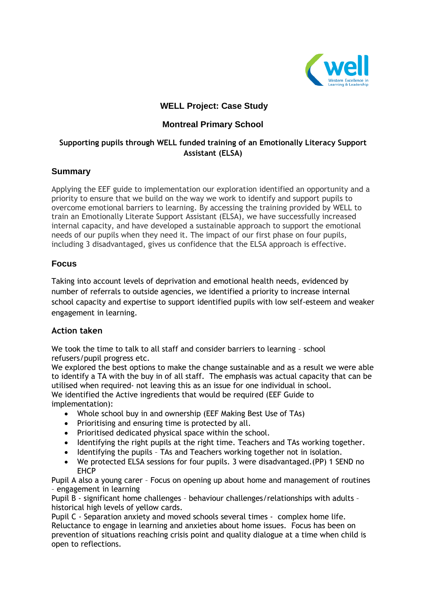

# **WELL Project: Case Study**

# **Montreal Primary School**

## **Supporting pupils through WELL funded training of an Emotionally Literacy Support Assistant (ELSA)**

## **Summary**

Applying the EEF guide to implementation our exploration identified an opportunity and a priority to ensure that we build on the way we work to identify and support pupils to overcome emotional barriers to learning. By accessing the training provided by WELL to train an Emotionally Literate Support Assistant (ELSA), we have successfully increased internal capacity, and have developed a sustainable approach to support the emotional needs of our pupils when they need it. The impact of our first phase on four pupils, including 3 disadvantaged, gives us confidence that the ELSA approach is effective.

## **Focus**

Taking into account levels of deprivation and emotional health needs, evidenced by number of referrals to outside agencies, we identified a priority to increase internal school capacity and expertise to support identified pupils with low self-esteem and weaker engagement in learning.

#### **Action taken**

We took the time to talk to all staff and consider barriers to learning – school refusers/pupil progress etc.

We explored the best options to make the change sustainable and as a result we were able to identify a TA with the buy in of all staff. The emphasis was actual capacity that can be utilised when required- not leaving this as an issue for one individual in school. We identified the Active ingredients that would be required (EEF Guide to implementation):

- Whole school buy in and ownership (EEF Making Best Use of TAs)
- Prioritising and ensuring time is protected by all.
- Prioritised dedicated physical space within the school.
- Identifying the right pupils at the right time. Teachers and TAs working together.
- Identifying the pupils TAs and Teachers working together not in isolation.
- We protected ELSA sessions for four pupils. 3 were disadvantaged.(PP) 1 SEND no EHCP

Pupil A also a young carer – Focus on opening up about home and management of routines – engagement in learning

Pupil B - significant home challenges – behaviour challenges/relationships with adults – historical high levels of yellow cards.

Pupil C - Separation anxiety and moved schools several times - complex home life. Reluctance to engage in learning and anxieties about home issues. Focus has been on prevention of situations reaching crisis point and quality dialogue at a time when child is open to reflections.